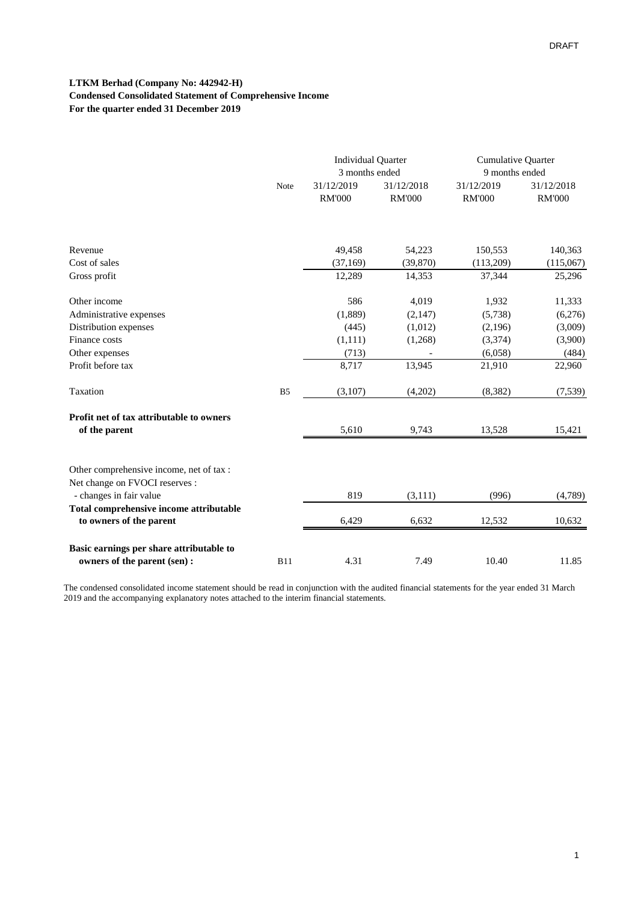### **LTKM Berhad (Company No: 442942-H) Condensed Consolidated Statement of Comprehensive Income For the quarter ended 31 December 2019**

|                                          |                | <b>Individual Quarter</b><br>3 months ended |                             | <b>Cumulative Quarter</b><br>9 months ended |                             |
|------------------------------------------|----------------|---------------------------------------------|-----------------------------|---------------------------------------------|-----------------------------|
|                                          | Note           | 31/12/2019<br><b>RM'000</b>                 | 31/12/2018<br><b>RM'000</b> | 31/12/2019<br><b>RM'000</b>                 | 31/12/2018<br><b>RM'000</b> |
|                                          |                |                                             |                             |                                             |                             |
| Revenue                                  |                | 49,458                                      | 54,223                      | 150,553                                     | 140,363                     |
| Cost of sales                            |                | (37, 169)                                   | (39, 870)                   | (113,209)                                   | (115,067)                   |
| Gross profit                             |                | 12,289                                      | 14,353                      | 37,344                                      | 25,296                      |
| Other income                             |                | 586                                         | 4,019                       | 1,932                                       | 11,333                      |
| Administrative expenses                  |                | (1,889)                                     | (2,147)                     | (5,738)                                     | (6,276)                     |
| Distribution expenses                    |                | (445)                                       | (1,012)                     | (2,196)                                     | (3,009)                     |
| Finance costs                            |                | (1,111)                                     | (1,268)                     | (3,374)                                     | (3,900)                     |
| Other expenses                           |                | (713)                                       |                             | (6,058)                                     | (484)                       |
| Profit before tax                        |                | 8,717                                       | 13,945                      | 21,910                                      | 22,960                      |
| Taxation                                 | B <sub>5</sub> | (3,107)                                     | (4,202)                     | (8,382)                                     | (7,539)                     |
| Profit net of tax attributable to owners |                |                                             |                             |                                             |                             |
| of the parent                            |                | 5,610                                       | 9,743                       | 13,528                                      | 15,421                      |
| Other comprehensive income, net of tax : |                |                                             |                             |                                             |                             |
| Net change on FVOCI reserves :           |                |                                             |                             |                                             |                             |
| - changes in fair value                  |                | 819                                         | (3,111)                     | (996)                                       | (4,789)                     |
| Total comprehensive income attributable  |                |                                             |                             |                                             |                             |
| to owners of the parent                  |                | 6,429                                       | 6,632                       | 12,532                                      | 10,632                      |
| Basic earnings per share attributable to |                |                                             |                             |                                             |                             |
| owners of the parent (sen) :             | <b>B11</b>     | 4.31                                        | 7.49                        | 10.40                                       | 11.85                       |

The condensed consolidated income statement should be read in conjunction with the audited financial statements for the year ended 31 March 2019 and the accompanying explanatory notes attached to the interim financial statements.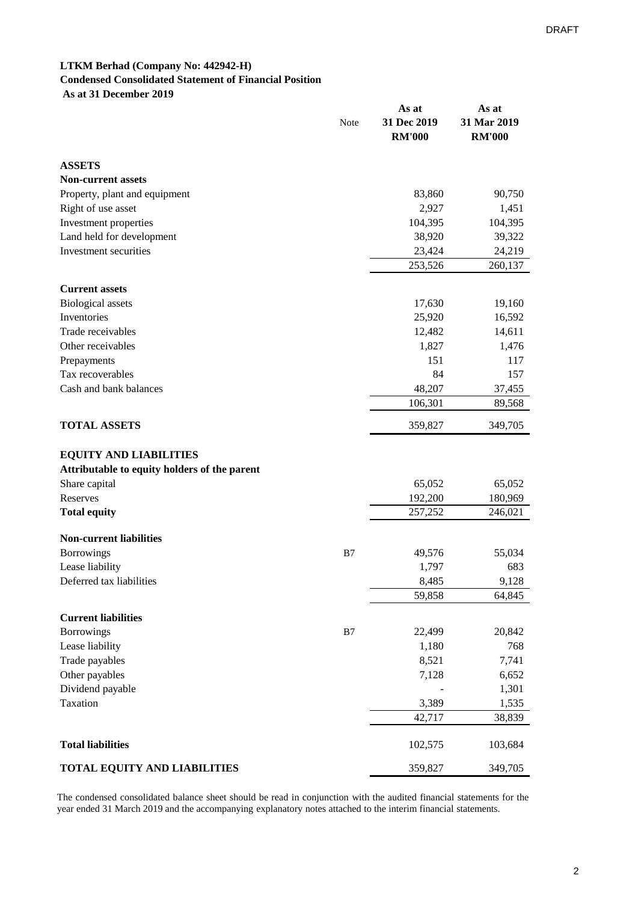### **LTKM Berhad (Company No: 442942-H) Condensed Consolidated Statement of Financial Position As at 31 December 2019**

|                                              | Note | As at<br>31 Dec 2019<br><b>RM'000</b> | As at<br>31 Mar 2019<br><b>RM'000</b> |
|----------------------------------------------|------|---------------------------------------|---------------------------------------|
| <b>ASSETS</b>                                |      |                                       |                                       |
| <b>Non-current assets</b>                    |      |                                       |                                       |
| Property, plant and equipment                |      | 83,860                                | 90,750                                |
| Right of use asset                           |      | 2,927                                 | 1,451                                 |
| Investment properties                        |      | 104,395                               | 104,395                               |
| Land held for development                    |      | 38,920                                | 39,322                                |
| Investment securities                        |      | 23,424                                | 24,219                                |
|                                              |      | 253,526                               | 260,137                               |
| <b>Current assets</b>                        |      |                                       |                                       |
| <b>Biological</b> assets                     |      | 17,630                                | 19,160                                |
| Inventories                                  |      | 25,920                                | 16,592                                |
| Trade receivables                            |      | 12,482                                | 14,611                                |
| Other receivables                            |      | 1,827                                 | 1,476                                 |
| Prepayments                                  |      | 151                                   | 117                                   |
| Tax recoverables                             |      | 84                                    | 157                                   |
| Cash and bank balances                       |      | 48,207                                | 37,455                                |
|                                              |      | 106,301                               | 89,568                                |
| <b>TOTAL ASSETS</b>                          |      | 359,827                               | 349,705                               |
| <b>EQUITY AND LIABILITIES</b>                |      |                                       |                                       |
| Attributable to equity holders of the parent |      |                                       |                                       |
| Share capital                                |      | 65,052                                | 65,052                                |
| Reserves                                     |      | 192,200                               | 180,969                               |
| <b>Total equity</b>                          |      | 257,252                               | 246,021                               |
| <b>Non-current liabilities</b>               |      |                                       |                                       |
| Borrowings                                   | B7   | 49,576                                | 55,034                                |
| Lease liability                              |      | 1,797                                 | 683                                   |
| Deferred tax liabilities                     |      | 8,485                                 | 9,128                                 |
|                                              |      | 59,858                                | 64,845                                |
| <b>Current liabilities</b>                   |      |                                       |                                       |
| Borrowings                                   | B7   | 22,499                                | 20,842                                |
| Lease liability                              |      | 1,180                                 | 768                                   |
| Trade payables                               |      | 8,521                                 | 7,741                                 |
| Other payables                               |      | 7,128                                 | 6,652                                 |
| Dividend payable                             |      |                                       | 1,301                                 |
| Taxation                                     |      | 3,389                                 | 1,535                                 |
|                                              |      | 42,717                                | 38,839                                |
|                                              |      |                                       |                                       |
| <b>Total liabilities</b>                     |      | 102,575                               | 103,684                               |
| TOTAL EQUITY AND LIABILITIES                 |      | 359,827                               | 349,705                               |

The condensed consolidated balance sheet should be read in conjunction with the audited financial statements for the year ended 31 March 2019 and the accompanying explanatory notes attached to the interim financial statements.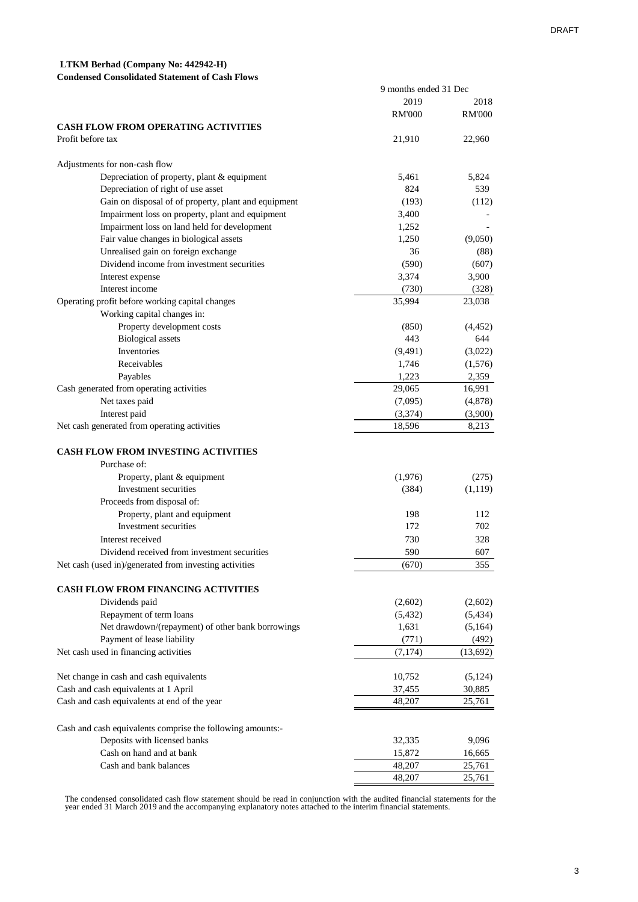9 months ended 31 Dec

# **LTKM Berhad (Company No: 442942-H)**

#### **Condensed Consolidated Statement of Cash Flows**

|                                                            | 2019          | 2018          |
|------------------------------------------------------------|---------------|---------------|
|                                                            | <b>RM'000</b> | <b>RM'000</b> |
| <b>CASH FLOW FROM OPERATING ACTIVITIES</b>                 |               |               |
| Profit before tax                                          | 21,910        | 22,960        |
|                                                            |               |               |
| Adjustments for non-cash flow                              |               |               |
| Depreciation of property, plant & equipment                | 5,461         | 5,824         |
| Depreciation of right of use asset                         | 824           | 539           |
| Gain on disposal of of property, plant and equipment       | (193)         | (112)         |
| Impairment loss on property, plant and equipment           | 3,400         |               |
| Impairment loss on land held for development               | 1,252         |               |
| Fair value changes in biological assets                    | 1,250         | (9,050)       |
| Unrealised gain on foreign exchange                        | 36            | (88)          |
| Dividend income from investment securities                 | (590)         | (607)         |
| Interest expense                                           | 3,374         | 3,900         |
| Interest income                                            | (730)         | (328)         |
| Operating profit before working capital changes            | 35,994        | 23,038        |
| Working capital changes in:                                |               |               |
| Property development costs                                 | (850)         | (4, 452)      |
| <b>Biological</b> assets                                   | 443           | 644           |
| Inventories                                                | (9,491)       | (3,022)       |
| Receivables                                                | 1,746         | (1,576)       |
| Payables                                                   | 1,223         | 2,359         |
| Cash generated from operating activities                   | 29,065        | 16,991        |
| Net taxes paid                                             | (7,095)       | (4,878)       |
| Interest paid                                              | (3,374)       | (3,900)       |
| Net cash generated from operating activities               | 18,596        | 8,213         |
|                                                            |               |               |
| <b>CASH FLOW FROM INVESTING ACTIVITIES</b>                 |               |               |
| Purchase of:                                               |               |               |
|                                                            |               | (275)         |
| Property, plant & equipment<br>Investment securities       | (1,976)       |               |
|                                                            | (384)         | (1,119)       |
| Proceeds from disposal of:                                 |               | 112           |
| Property, plant and equipment<br>Investment securities     | 198<br>172    | 702           |
|                                                            |               |               |
| Interest received                                          | 730           | 328           |
| Dividend received from investment securities               | 590           | 607           |
| Net cash (used in)/generated from investing activities     | (670)         | 355           |
|                                                            |               |               |
| CASH FLOW FROM FINANCING ACTIVITIES                        |               |               |
| Dividends paid                                             | (2,602)       | (2,602)       |
| Repayment of term loans                                    | (5,432)       | (5, 434)      |
| Net drawdown/(repayment) of other bank borrowings          | 1,631         | (5,164)       |
| Payment of lease liability                                 | (771)         | (492)         |
| Net cash used in financing activities                      | (7, 174)      | (13,692)      |
|                                                            |               |               |
| Net change in cash and cash equivalents                    | 10,752        | (5, 124)      |
| Cash and cash equivalents at 1 April                       | 37,455        | 30,885        |
| Cash and cash equivalents at end of the year               | 48,207        | 25,761        |
|                                                            |               |               |
| Cash and cash equivalents comprise the following amounts:- |               |               |
| Deposits with licensed banks                               | 32,335        | 9,096         |
| Cash on hand and at bank                                   | 15,872        | 16,665        |
| Cash and bank balances                                     | 48,207        | 25,761        |
|                                                            | 48,207        | 25,761        |

The condensed consolidated cash flow statement should be read in conjunction with the audited financial statements for the year ended 31 March 2019 and the accompanying explanatory notes attached to the interim financial s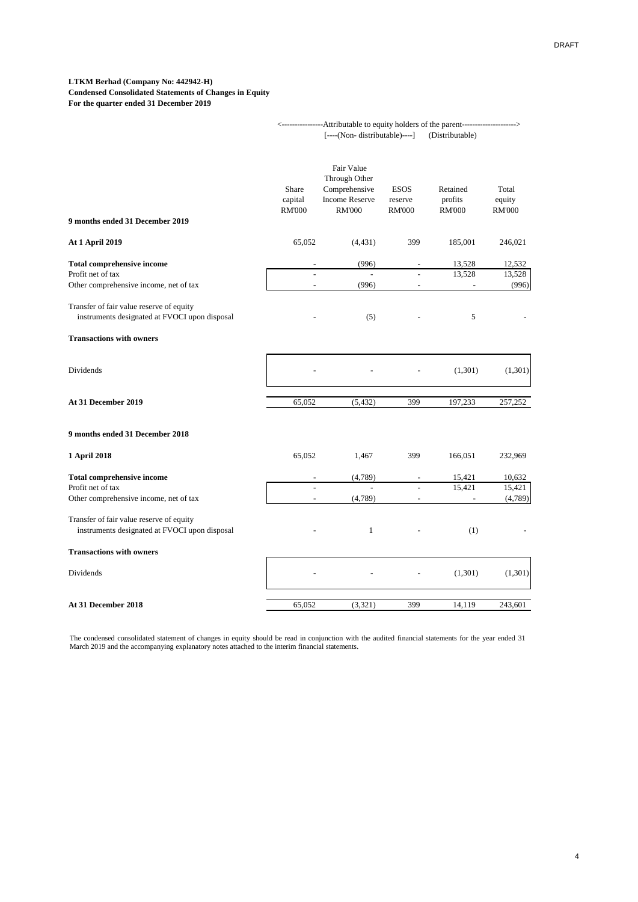#### **LTKM Berhad (Company No: 442942-H) Condensed Consolidated Statements of Changes in Equity For the quarter ended 31 December 2019**

|                                                                                                  | -Attributable to equity holders of the parent---------------------><br>[----(Non- distributable)----]<br>(Distributable) |                                                                                        |                                         |                                      |                                  |  |
|--------------------------------------------------------------------------------------------------|--------------------------------------------------------------------------------------------------------------------------|----------------------------------------------------------------------------------------|-----------------------------------------|--------------------------------------|----------------------------------|--|
| 9 months ended 31 December 2019                                                                  | Share<br>capital<br><b>RM'000</b>                                                                                        | Fair Value<br>Through Other<br>Comprehensive<br><b>Income Reserve</b><br><b>RM'000</b> | <b>ESOS</b><br>reserve<br><b>RM'000</b> | Retained<br>profits<br><b>RM'000</b> | Total<br>equity<br><b>RM'000</b> |  |
| <b>At 1 April 2019</b>                                                                           | 65,052                                                                                                                   | (4, 431)                                                                               | 399                                     | 185,001                              | 246,021                          |  |
| <b>Total comprehensive income</b><br>Profit net of tax<br>Other comprehensive income, net of tax | $\sim$                                                                                                                   | (996)<br>(996)                                                                         | $\overline{\phantom{a}}$                | 13,528<br>13,528                     | 12,532<br>13,528<br>(996)        |  |
| Transfer of fair value reserve of equity<br>instruments designated at FVOCI upon disposal        |                                                                                                                          | (5)                                                                                    |                                         | 5                                    |                                  |  |
| <b>Transactions with owners</b>                                                                  |                                                                                                                          |                                                                                        |                                         |                                      |                                  |  |
| Dividends                                                                                        |                                                                                                                          |                                                                                        |                                         | (1,301)                              | (1,301)                          |  |
| At 31 December 2019                                                                              | 65,052                                                                                                                   | (5, 432)                                                                               | 399                                     | 197,233                              | 257,252                          |  |
| 9 months ended 31 December 2018                                                                  |                                                                                                                          |                                                                                        |                                         |                                      |                                  |  |
| 1 April 2018                                                                                     | 65,052                                                                                                                   | 1,467                                                                                  | 399                                     | 166,051                              | 232,969                          |  |
| <b>Total comprehensive income</b><br>Profit net of tax                                           |                                                                                                                          | (4,789)                                                                                |                                         | 15,421<br>15,421                     | 10,632<br>15,421                 |  |
| Other comprehensive income, net of tax                                                           | $\overline{a}$                                                                                                           | (4,789)                                                                                | $\blacksquare$                          | $\overline{\phantom{a}}$             | (4,789)                          |  |
| Transfer of fair value reserve of equity<br>instruments designated at FVOCI upon disposal        |                                                                                                                          | $\mathbf{1}$                                                                           |                                         | (1)                                  |                                  |  |
| <b>Transactions with owners</b>                                                                  |                                                                                                                          |                                                                                        |                                         |                                      |                                  |  |
| Dividends                                                                                        |                                                                                                                          |                                                                                        |                                         | (1,301)                              | (1,301)                          |  |
| At 31 December 2018                                                                              | 65,052                                                                                                                   | (3, 321)                                                                               | 399                                     | 14,119                               | 243,601                          |  |

The condensed consolidated statement of changes in equity should be read in conjunction with the audited financial statements for the year ended 31 March 2019 and the accompanying explanatory notes attached to the interim